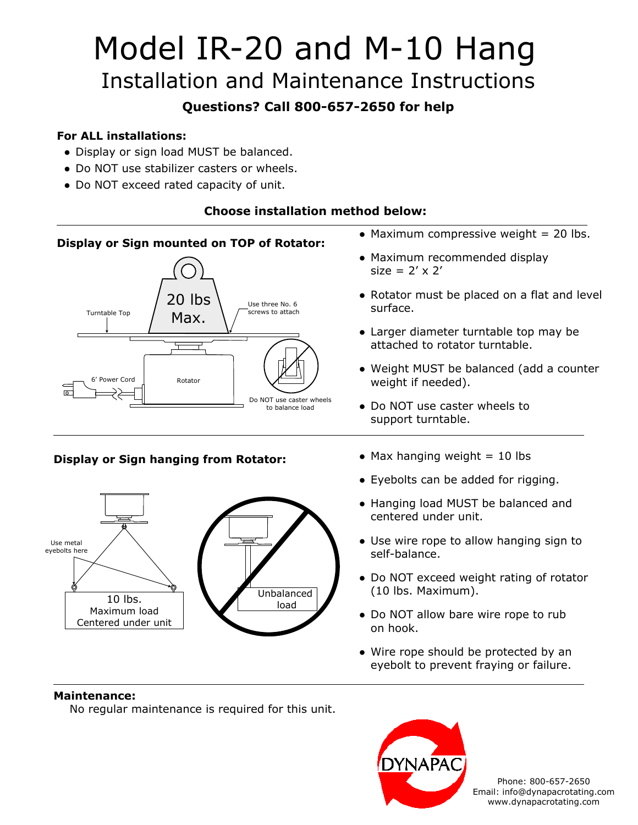# Model IR-20 and M-10 Hang Installation and Maintenance Instructions

#### **Questions? Call 800-657-2650 for help**

#### **For ALL installations:**

- Display or sign load MUST be balanced.
- Do NOT use stabilizer casters or wheels.
- Do NOT exceed rated capacity of unit.

#### **Choose installation method below:**

### **Display or Sign mounted on TOP of Rotator:**



#### **Display or Sign hanging from Rotator:** • Max hanging weight = 10 lbs



- $\bullet$  Maximum compressive weight = 20 lbs.
- Maximum recommended display size =  $2' \times 2'$
- Rotator must be placed on a flat and level surface.
- Larger diameter turntable top may be attached to rotator turntable.
- Weight MUST be balanced (add a counter weight if needed).
- Do NOT use caster wheels to support turntable.
- 
- Eyebolts can be added for rigging.
- Hanging load MUST be balanced and centered under unit.
- Use wire rope to allow hanging sign to self-balance.
- Do NOT exceed weight rating of rotator (10 lbs. Maximum).
- Do NOT allow bare wire rope to rub on hook.
- Wire rope should be protected by an eyebolt to prevent fraying or failure.

#### **Maintenance:**

No regular maintenance is required for this unit.



Phone: 800-657-2650 Email: info@dynapacrotating.com www.dynapacrotating.com